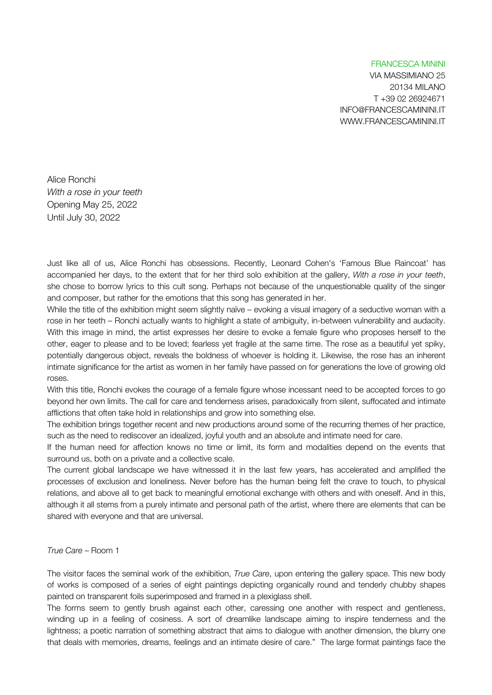## FRANCESCA MININI

VIA MASSIMIANO 25 20134 MILANO T +39 02 26924671 INFO@FRANCESCAMININI.IT WWW.FRANCESCAMININI.IT

Alice Ronchi *With a rose in your teeth* Opening May 25, 2022 Until July 30, 2022

Just like all of us, Alice Ronchi has obsessions. Recently, Leonard Cohen's 'Famous Blue Raincoat' has accompanied her days, to the extent that for her third solo exhibition at the gallery, *With a rose in your teeth*, she chose to borrow lyrics to this cult song. Perhaps not because of the unquestionable quality of the singer and composer, but rather for the emotions that this song has generated in her.

While the title of the exhibition might seem slightly naïve – evoking a visual imagery of a seductive woman with a rose in her teeth – Ronchi actually wants to highlight a state of ambiguity, in-between vulnerability and audacity. With this image in mind, the artist expresses her desire to evoke a female figure who proposes herself to the other, eager to please and to be loved; fearless yet fragile at the same time. The rose as a beautiful yet spiky, potentially dangerous object, reveals the boldness of whoever is holding it. Likewise, the rose has an inherent intimate significance for the artist as women in her family have passed on for generations the love of growing old roses.

With this title, Ronchi evokes the courage of a female figure whose incessant need to be accepted forces to go beyond her own limits. The call for care and tenderness arises, paradoxically from silent, suffocated and intimate afflictions that often take hold in relationships and grow into something else.

The exhibition brings together recent and new productions around some of the recurring themes of her practice, such as the need to rediscover an idealized, joyful youth and an absolute and intimate need for care.

If the human need for affection knows no time or limit, its form and modalities depend on the events that surround us, both on a private and a collective scale.

The current global landscape we have witnessed it in the last few years, has accelerated and amplified the processes of exclusion and loneliness. Never before has the human being felt the crave to touch, to physical relations, and above all to get back to meaningful emotional exchange with others and with oneself. And in this, although it all stems from a purely intimate and personal path of the artist, where there are elements that can be shared with everyone and that are universal.

*True Care* – Room 1

The visitor faces the seminal work of the exhibition, *True Care*, upon entering the gallery space. This new body of works is composed of a series of eight paintings depicting organically round and tenderly chubby shapes painted on transparent foils superimposed and framed in a plexiglass shell.

The forms seem to gently brush against each other, caressing one another with respect and gentleness, winding up in a feeling of cosiness. A sort of dreamlike landscape aiming to inspire tenderness and the lightness; a poetic narration of something abstract that aims to dialogue with another dimension, the blurry one that deals with memories, dreams, feelings and an intimate desire of care." The large format paintings face the